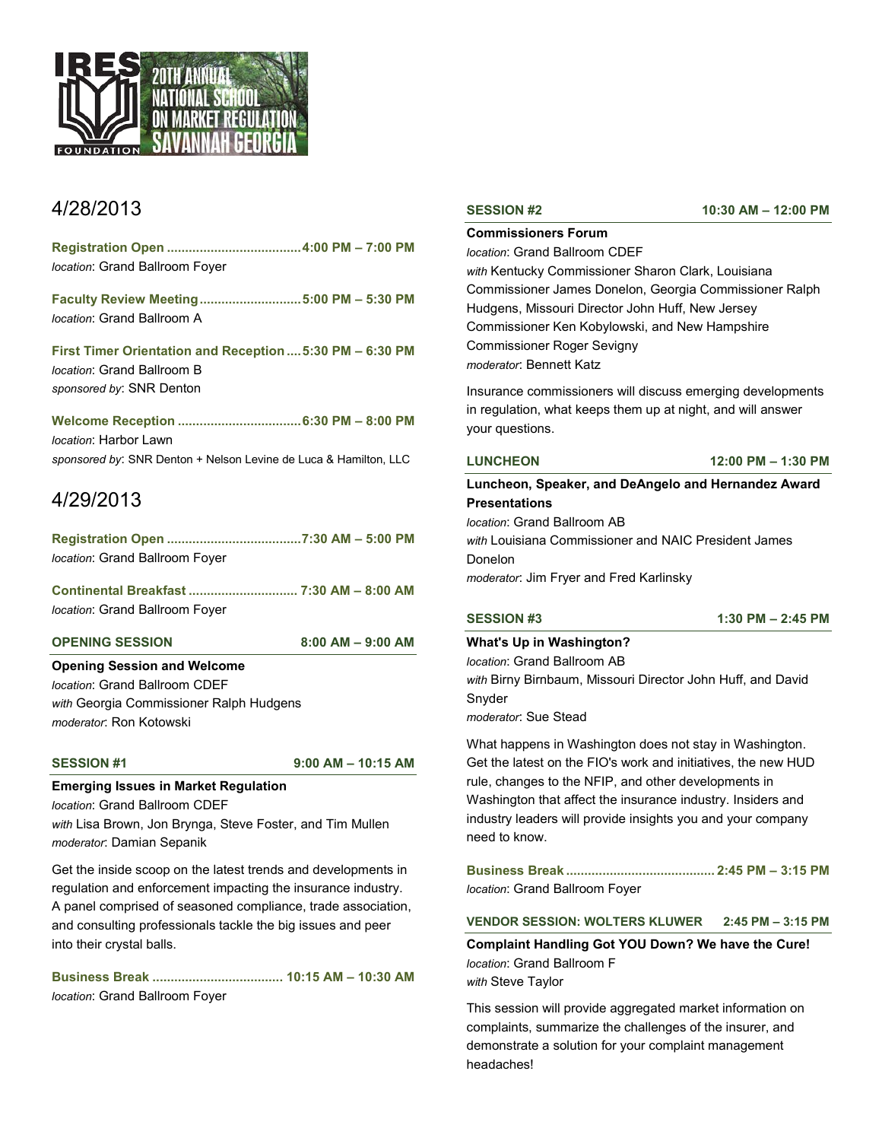

# 4/28/2013

**Registration Open .....................................4:00 PM – 7:00 PM** *location*: Grand Ballroom Foyer

**Faculty Review Meeting............................5:00 PM – 5:30 PM** *location*: Grand Ballroom A

**First Timer Orientation and Reception....5:30 PM – 6:30 PM** *location*: Grand Ballroom B *sponsored by*: SNR Denton

**Welcome Reception ..................................6:30 PM – 8:00 PM** *location*: Harbor Lawn *sponsored by*: SNR Denton + Nelson Levine de Luca & Hamilton, LLC

# 4/29/2013

**Registration Open .....................................7:30 AM – 5:00 PM** *location*: Grand Ballroom Foyer

**Continental Breakfast .............................. 7:30 AM – 8:00 AM** *location*: Grand Ballroom Foyer

### **OPENING SESSION 8:00 AM – 9:00 AM**

### **Opening Session and Welcome**

*location*: Grand Ballroom CDEF *with* Georgia Commissioner Ralph Hudgens *moderator*: Ron Kotowski

**SESSION #1 9:00 AM – 10:15 AM**

# **Emerging Issues in Market Regulation**

*location*: Grand Ballroom CDEF *with* Lisa Brown, Jon Brynga, Steve Foster, and Tim Mullen *moderator*: Damian Sepanik

Get the inside scoop on the latest trends and developments in regulation and enforcement impacting the insurance industry. A panel comprised of seasoned compliance, trade association, and consulting professionals tackle the big issues and peer into their crystal balls.

**Business Break .................................... 10:15 AM – 10:30 AM** *location*: Grand Ballroom Foyer

**Commissioners Forum**

### *location*: Grand Ballroom CDEF

*with* Kentucky Commissioner Sharon Clark, Louisiana Commissioner James Donelon, Georgia Commissioner Ralph Hudgens, Missouri Director John Huff, New Jersey Commissioner Ken Kobylowski, and New Hampshire Commissioner Roger Sevigny *moderator*: Bennett Katz

Insurance commissioners will discuss emerging developments in regulation, what keeps them up at night, and will answer your questions.

**LUNCHEON 12:00 PM – 1:30 PM**

**Luncheon, Speaker, and DeAngelo and Hernandez Award Presentations**

*location*: Grand Ballroom AB

*with* Louisiana Commissioner and NAIC President James Donelon

*moderator*: Jim Fryer and Fred Karlinsky

**SESSION #3 1:30 PM – 2:45 PM**

# **What's Up in Washington?**

*location*: Grand Ballroom AB *with* Birny Birnbaum, Missouri Director John Huff, and David Snyder

*moderator*: Sue Stead

What happens in Washington does not stay in Washington. Get the latest on the FIO's work and initiatives, the new HUD rule, changes to the NFIP, and other developments in Washington that affect the insurance industry. Insiders and industry leaders will provide insights you and your company need to know.

**Business Break ......................................... 2:45 PM – 3:15 PM** *location*: Grand Ballroom Foyer

### **VENDOR SESSION: WOLTERS KLUWER 2:45 PM – 3:15 PM**

**Complaint Handling Got YOU Down? We have the Cure!** *location*: Grand Ballroom F *with* Steve Taylor

This session will provide aggregated market information on complaints, summarize the challenges of the insurer, and demonstrate a solution for your complaint management headaches!

**SESSION #2 10:30 AM – 12:00 PM**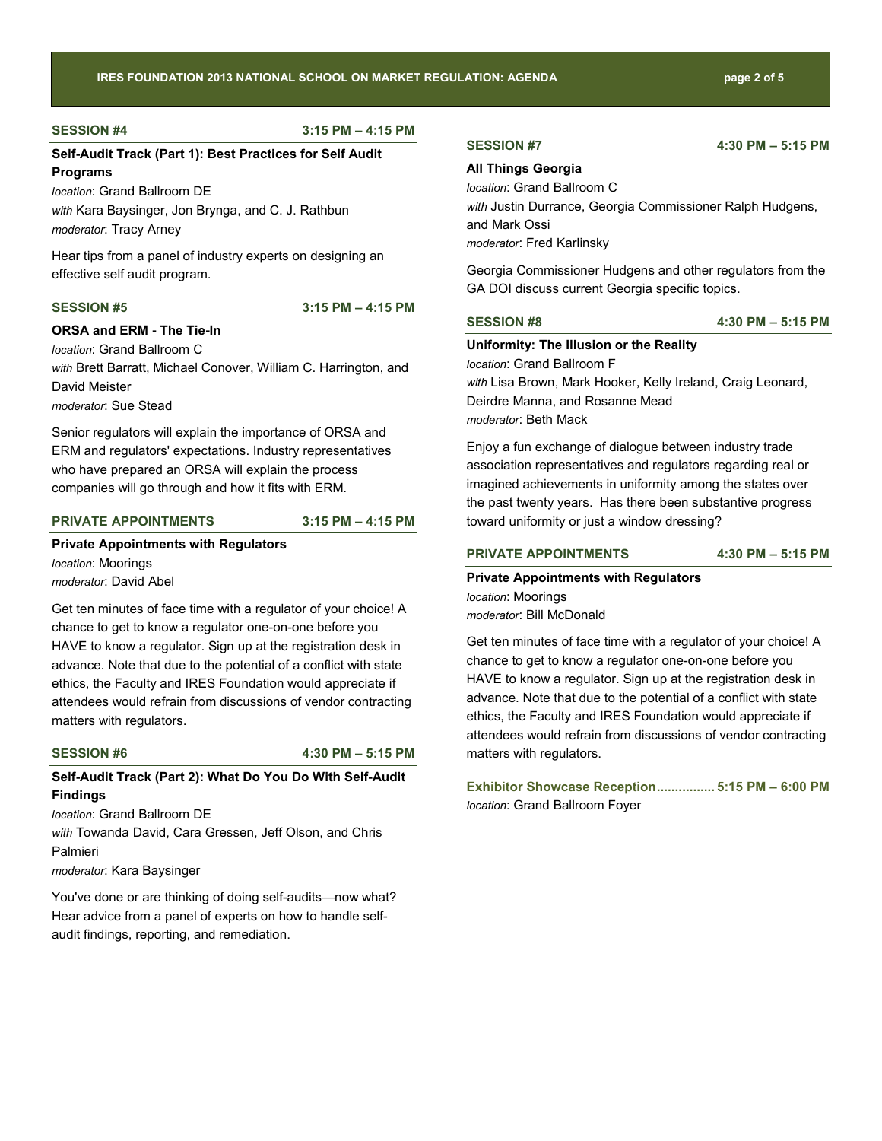#### **SESSION #4 3:15 PM – 4:15 PM**

# **Self-Audit Track (Part 1): Best Practices for Self Audit Programs**

*location*: Grand Ballroom DE *with* Kara Baysinger, Jon Brynga, and C. J. Rathbun *moderator*: Tracy Arney

Hear tips from a panel of industry experts on designing an effective self audit program.

# **SESSION #5 3:15 PM – 4:15 PM**

**ORSA and ERM - The Tie-In**

*location*: Grand Ballroom C *with* Brett Barratt, Michael Conover, William C. Harrington, and David Meister

*moderator*: Sue Stead

Senior regulators will explain the importance of ORSA and ERM and regulators' expectations. Industry representatives who have prepared an ORSA will explain the process companies will go through and how it fits with ERM.

### **PRIVATE APPOINTMENTS 3:15 PM – 4:15 PM**

# **Private Appointments with Regulators** *location*: Moorings *moderator*: David Abel

Get ten minutes of face time with a regulator of your choice! A chance to get to know a regulator one-on-one before you HAVE to know a regulator. Sign up at the registration desk in advance. Note that due to the potential of a conflict with state ethics, the Faculty and IRES Foundation would appreciate if attendees would refrain from discussions of vendor contracting matters with regulators.

**SESSION #6 4:30 PM – 5:15 PM**

# **Self-Audit Track (Part 2): What Do You Do With Self-Audit Findings**

*location*: Grand Ballroom DE *with* Towanda David, Cara Gressen, Jeff Olson, and Chris Palmieri *moderator*: Kara Baysinger

You've done or are thinking of doing self-audits—now what? Hear advice from a panel of experts on how to handle selfaudit findings, reporting, and remediation.

#### **SESSION #7 4:30 PM – 5:15 PM**

### **All Things Georgia**

*location*: Grand Ballroom C *with* Justin Durrance, Georgia Commissioner Ralph Hudgens, and Mark Ossi *moderator*: Fred Karlinsky

Georgia Commissioner Hudgens and other regulators from the GA DOI discuss current Georgia specific topics.

**SESSION #8 4:30 PM – 5:15 PM**

#### **Uniformity: The Illusion or the Reality**

*location*: Grand Ballroom F *with* Lisa Brown, Mark Hooker, Kelly Ireland, Craig Leonard, Deirdre Manna, and Rosanne Mead *moderator*: Beth Mack

Enjoy a fun exchange of dialogue between industry trade association representatives and regulators regarding real or imagined achievements in uniformity among the states over the past twenty years. Has there been substantive progress toward uniformity or just a window dressing?

### **PRIVATE APPOINTMENTS 4:30 PM – 5:15 PM**

**Private Appointments with Regulators** *location*: Moorings *moderator*: Bill McDonald

Get ten minutes of face time with a regulator of your choice! A chance to get to know a regulator one-on-one before you HAVE to know a regulator. Sign up at the registration desk in advance. Note that due to the potential of a conflict with state ethics, the Faculty and IRES Foundation would appreciate if attendees would refrain from discussions of vendor contracting matters with regulators.

**Exhibitor Showcase Reception................ 5:15 PM – 6:00 PM** *location*: Grand Ballroom Foyer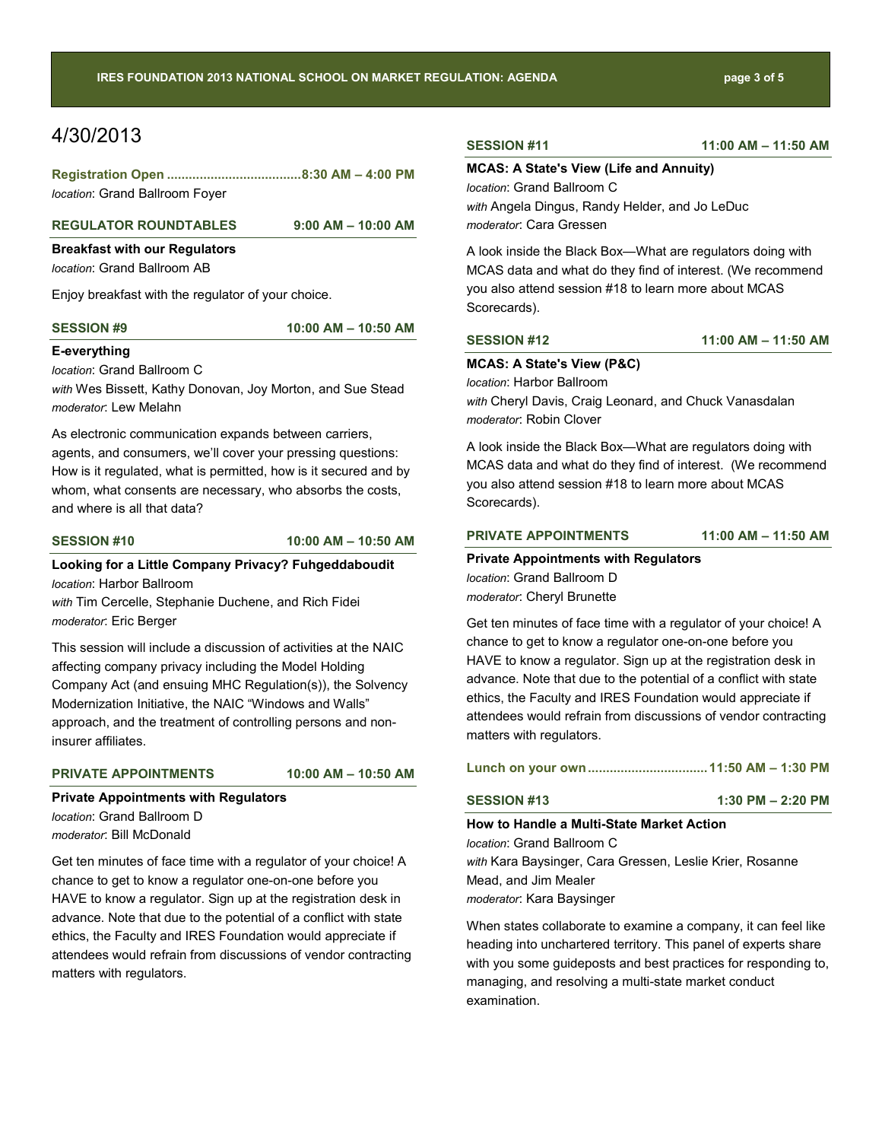# 4/30/2013

| location: Grand Ballroom Foyer |  |  |
|--------------------------------|--|--|

#### **REGULATOR ROUNDTABLES 9:00 AM – 10:00 AM**

# **Breakfast with our Regulators**

*location*: Grand Ballroom AB

Enjoy breakfast with the regulator of your choice.

**SESSION #9 10:00 AM – 10:50 AM**

### **E-everything**

*location*: Grand Ballroom C

*with* Wes Bissett, Kathy Donovan, Joy Morton, and Sue Stead *moderator*: Lew Melahn

As electronic communication expands between carriers, agents, and consumers, we'll cover your pressing questions: How is it regulated, what is permitted, how is it secured and by whom, what consents are necessary, who absorbs the costs, and where is all that data?

**SESSION #10 10:00 AM – 10:50 AM**

# **Looking for a Little Company Privacy? Fuhgeddaboudit** *location*: Harbor Ballroom

*with* Tim Cercelle, Stephanie Duchene, and Rich Fidei *moderator*: Eric Berger

This session will include a discussion of activities at the NAIC affecting company privacy including the Model Holding Company Act (and ensuing MHC Regulation(s)), the Solvency Modernization Initiative, the NAIC "Windows and Walls" approach, and the treatment of controlling persons and noninsurer affiliates.

### **PRIVATE APPOINTMENTS 10:00 AM – 10:50 AM**

### **Private Appointments with Regulators**

*location*: Grand Ballroom D *moderator*: Bill McDonald

Get ten minutes of face time with a regulator of your choice! A chance to get to know a regulator one-on-one before you HAVE to know a regulator. Sign up at the registration desk in advance. Note that due to the potential of a conflict with state ethics, the Faculty and IRES Foundation would appreciate if attendees would refrain from discussions of vendor contracting matters with regulators.

**SESSION #11 11:00 AM – 11:50 AM**

### **MCAS: A State's View (Life and Annuity)**

*location*: Grand Ballroom C *with* Angela Dingus, Randy Helder, and Jo LeDuc *moderator*: Cara Gressen

A look inside the Black Box—What are regulators doing with MCAS data and what do they find of interest. (We recommend you also attend session #18 to learn more about MCAS Scorecards).

**SESSION #12 11:00 AM – 11:50 AM**

### **MCAS: A State's View (P&C)**

*location*: Harbor Ballroom *with* Cheryl Davis, Craig Leonard, and Chuck Vanasdalan *moderator*: Robin Clover

A look inside the Black Box—What are regulators doing with MCAS data and what do they find of interest. (We recommend you also attend session #18 to learn more about MCAS Scorecards).

#### **PRIVATE APPOINTMENTS 11:00 AM – 11:50 AM**

### **Private Appointments with Regulators**

*location*: Grand Ballroom D *moderator*: Cheryl Brunette

Get ten minutes of face time with a regulator of your choice! A chance to get to know a regulator one-on-one before you HAVE to know a regulator. Sign up at the registration desk in advance. Note that due to the potential of a conflict with state ethics, the Faculty and IRES Foundation would appreciate if attendees would refrain from discussions of vendor contracting matters with regulators.

|--|--|--|--|--|--|

### **SESSION #13 1:30 PM – 2:20 PM**

### **How to Handle a Multi-State Market Action** *location*: Grand Ballroom C

*with* Kara Baysinger, Cara Gressen, Leslie Krier, Rosanne Mead, and Jim Mealer *moderator*: Kara Baysinger

When states collaborate to examine a company, it can feel like heading into unchartered territory. This panel of experts share with you some guideposts and best practices for responding to, managing, and resolving a multi-state market conduct examination.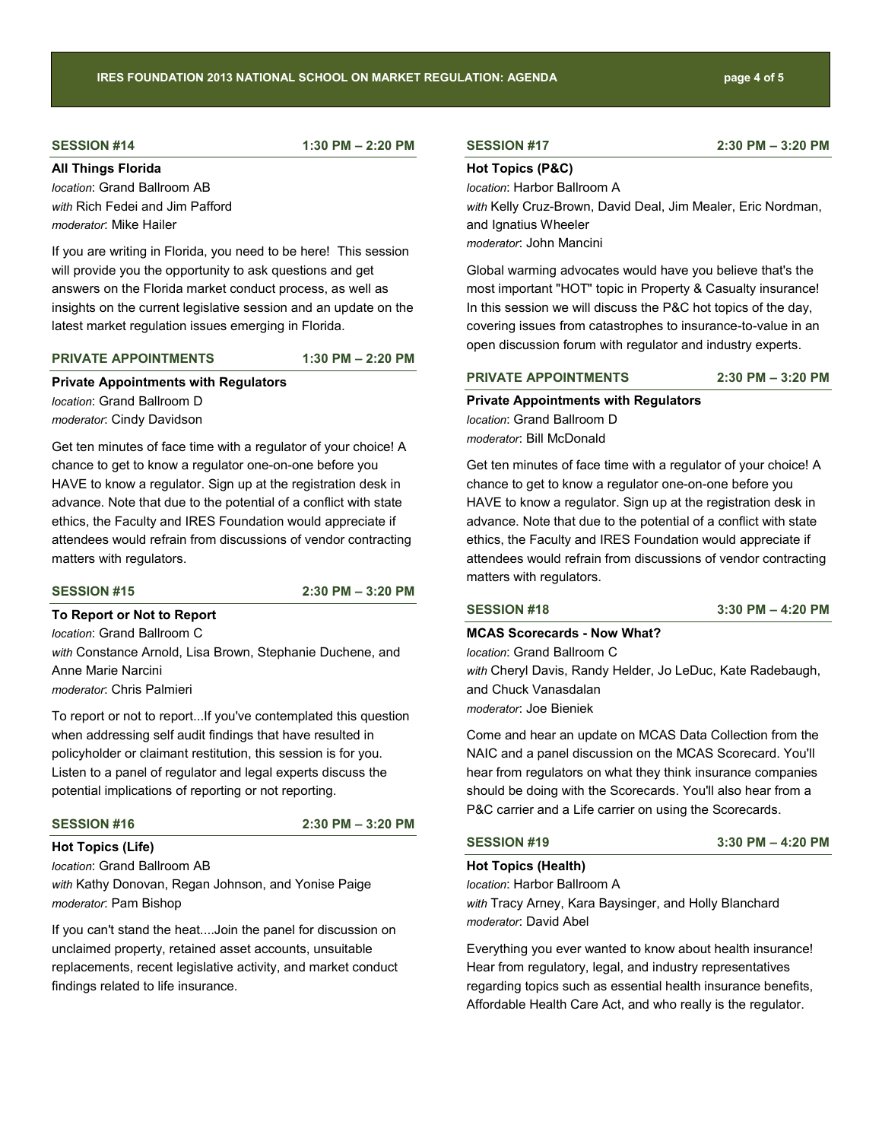# **SESSION #14 1:30 PM – 2:20 PM**

**All Things Florida**

*location*: Grand Ballroom AB *with* Rich Fedei and Jim Pafford *moderator*: Mike Hailer

If you are writing in Florida, you need to be here! This session will provide you the opportunity to ask questions and get answers on the Florida market conduct process, as well as insights on the current legislative session and an update on the latest market regulation issues emerging in Florida.

### **PRIVATE APPOINTMENTS 1:30 PM – 2:20 PM**

### **Private Appointments with Regulators**

*location*: Grand Ballroom D *moderator*: Cindy Davidson

Get ten minutes of face time with a regulator of your choice! A chance to get to know a regulator one-on-one before you HAVE to know a regulator. Sign up at the registration desk in advance. Note that due to the potential of a conflict with state ethics, the Faculty and IRES Foundation would appreciate if attendees would refrain from discussions of vendor contracting matters with regulators.

**SESSION #15 2:30 PM – 3:20 PM**

**To Report or Not to Report** *location*: Grand Ballroom C *with* Constance Arnold, Lisa Brown, Stephanie Duchene, and Anne Marie Narcini *moderator*: Chris Palmieri

To report or not to report...If you've contemplated this question when addressing self audit findings that have resulted in policyholder or claimant restitution, this session is for you. Listen to a panel of regulator and legal experts discuss the potential implications of reporting or not reporting.

**SESSION #16 2:30 PM – 3:20 PM**

**Hot Topics (Life)** *location*: Grand Ballroom AB *with* Kathy Donovan, Regan Johnson, and Yonise Paige *moderator*: Pam Bishop

If you can't stand the heat....Join the panel for discussion on unclaimed property, retained asset accounts, unsuitable replacements, recent legislative activity, and market conduct findings related to life insurance.

## **Hot Topics (P&C)**

*location*: Harbor Ballroom A

*with* Kelly Cruz-Brown, David Deal, Jim Mealer, Eric Nordman, and Ignatius Wheeler *moderator*: John Mancini

Global warming advocates would have you believe that's the most important "HOT" topic in Property & Casualty insurance! In this session we will discuss the P&C hot topics of the day, covering issues from catastrophes to insurance-to-value in an open discussion forum with regulator and industry experts.

# **PRIVATE APPOINTMENTS 2:30 PM – 3:20 PM**

**Private Appointments with Regulators** *location*: Grand Ballroom D *moderator*: Bill McDonald

Get ten minutes of face time with a regulator of your choice! A chance to get to know a regulator one-on-one before you HAVE to know a regulator. Sign up at the registration desk in advance. Note that due to the potential of a conflict with state ethics, the Faculty and IRES Foundation would appreciate if attendees would refrain from discussions of vendor contracting matters with regulators.

**SESSION #18 3:30 PM – 4:20 PM**

### **MCAS Scorecards - Now What?**

*location*: Grand Ballroom C *with* Cheryl Davis, Randy Helder, Jo LeDuc, Kate Radebaugh, and Chuck Vanasdalan *moderator*: Joe Bieniek

Come and hear an update on MCAS Data Collection from the NAIC and a panel discussion on the MCAS Scorecard. You'll hear from regulators on what they think insurance companies should be doing with the Scorecards. You'll also hear from a P&C carrier and a Life carrier on using the Scorecards.

#### **SESSION #19 3:30 PM – 4:20 PM**

#### **Hot Topics (Health)**

*location*: Harbor Ballroom A *with* Tracy Arney, Kara Baysinger, and Holly Blanchard *moderator*: David Abel

Everything you ever wanted to know about health insurance! Hear from regulatory, legal, and industry representatives regarding topics such as essential health insurance benefits, Affordable Health Care Act, and who really is the regulator.